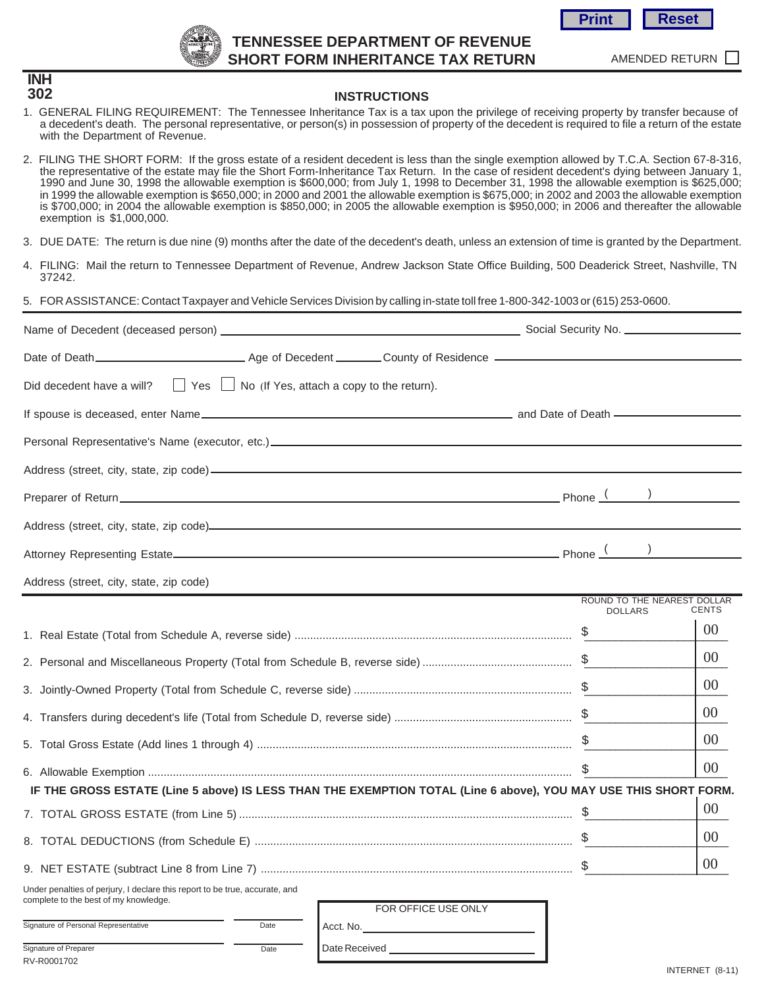

**INH 302**

RV-R0001702

# **TENNESSEE DEPARTMENT OF REVENUE SHORT FORM INHERITANCE TAX RETURN**



AMENDED RETURN

#### **INSTRUCTIONS**

- 1. GENERAL FILING REQUIREMENT: The Tennessee Inheritance Tax is a tax upon the privilege of receiving property by transfer because of a decedent's death. The personal representative, or person(s) in possession of property of the decedent is required to file a return of the estate with the Department of Revenue.
- 2. FILING THE SHORT FORM: If the gross estate of a resident decedent is less than the single exemption allowed by T.C.A. Section 67-8-316, the representative of the estate may file the Short Form-Inheritance Tax Return. In the case of resident decedent's dying between January 1, 1990 and June 30, 1998 the allowable exemption is \$600,000; from July 1, 1998 to December 31, 1998 the allowable exemption is \$625,000; in 1999 the allowable exemption is \$650,000; in 2000 and 2001 the allowable exemption is \$675,000; in 2002 and 2003 the allowable exemption is \$700,000; in 2004 the allowable exemption is \$850,000; in 2005 the allowable exemption is \$950,000; in 2006 and thereafter the allowable exemption is \$1,000,000.
- 3. DUE DATE: The return is due nine (9) months after the date of the decedent's death, unless an extension of time is granted by the Department.
- 4. FILING: Mail the return to Tennessee Department of Revenue, Andrew Jackson State Office Building, 500 Deaderick Street, Nashville, TN 37242.

#### 5. FOR ASSISTANCE: Contact Taxpayer and Vehicle Services Division by calling in-state toll free 1-800-342-1003 or (615) 253-0600.

| Did decedent have a will? $\Box$ Yes $\Box$ No (If Yes, attach a copy to the return).                                |                     |                |                                             |
|----------------------------------------------------------------------------------------------------------------------|---------------------|----------------|---------------------------------------------|
|                                                                                                                      |                     |                |                                             |
|                                                                                                                      |                     |                |                                             |
|                                                                                                                      |                     |                |                                             |
|                                                                                                                      |                     |                |                                             |
|                                                                                                                      |                     |                |                                             |
|                                                                                                                      |                     |                |                                             |
| Address (street, city, state, zip code)                                                                              |                     |                |                                             |
|                                                                                                                      |                     | <b>DOLLARS</b> | ROUND TO THE NEAREST DOLLAR<br><b>CENTS</b> |
|                                                                                                                      |                     |                | $00\,$                                      |
|                                                                                                                      |                     |                | $00\,$                                      |
|                                                                                                                      |                     |                | 00 <sup>°</sup>                             |
|                                                                                                                      |                     |                | 00 <sup>1</sup>                             |
|                                                                                                                      |                     |                | 00 <sup>°</sup>                             |
|                                                                                                                      |                     | \$             | 00 <sup>°</sup>                             |
| IF THE GROSS ESTATE (Line 5 above) IS LESS THAN THE EXEMPTION TOTAL (Line 6 above), YOU MAY USE THIS SHORT FORM.     |                     |                |                                             |
|                                                                                                                      |                     |                | $00\,$                                      |
|                                                                                                                      |                     |                | 00 <sup>°</sup>                             |
|                                                                                                                      |                     |                | 00 <sup>°</sup>                             |
| Under penalties of perjury, I declare this report to be true, accurate, and<br>complete to the best of my knowledge. | FOR OFFICE USE ONLY |                |                                             |
| Signature of Personal Representative<br>Date                                                                         |                     |                |                                             |
| Signature of Preparer<br>Date                                                                                        | Date Received       |                |                                             |